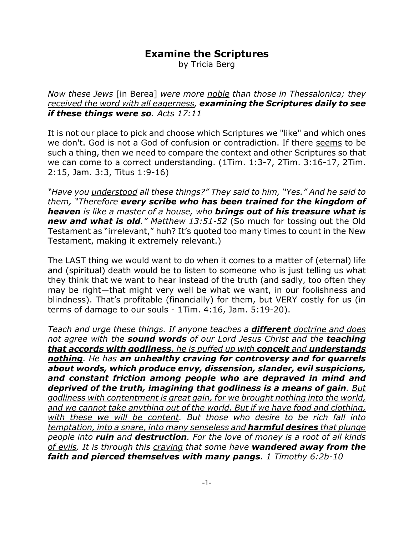## **Examine the Scriptures**

by Tricia Berg

*Now these Jews* [in Berea] *were more noble than those in Thessalonica; they received the word with all eagerness, examining the Scriptures daily to see if these things were so. Acts 17:11*

It is not our place to pick and choose which Scriptures we "like" and which ones we don't. God is not a God of confusion or contradiction. If there seems to be such a thing, then we need to compare the context and other Scriptures so that we can come to a correct understanding. (1Tim. 1:3-7, 2Tim. 3:16-17, 2Tim. 2:15, Jam. 3:3, Titus 1:9-16)

*"Have you understood all these things?" They said to him, "Yes." And he said to them, "Therefore every scribe who has been trained for the kingdom of heaven is like a master of a house, who brings out of his treasure what is new and what is old." Matthew 13:51-52* (So much for tossing out the Old Testament as "irrelevant," huh? It's quoted too many times to count in the New Testament, making it extremely relevant.)

The LAST thing we would want to do when it comes to a matter of (eternal) life and (spiritual) death would be to listen to someone who is just telling us what they think that we want to hear instead of the truth (and sadly, too often they may be right—that might very well be what we want, in our foolishness and blindness). That's profitable (financially) for them, but VERY costly for us (in terms of damage to our souls - 1Tim. 4:16, Jam. 5:19-20).

*Teach and urge these things. If anyone teaches a different doctrine and does not agree with the sound words of our Lord Jesus Christ and the teaching that accords with godliness, he is puffed up with conceit and understands nothing. He has an unhealthy craving for controversy and for quarrels about words, which produce envy, dissension, slander, evil suspicions, and constant friction among people who are depraved in mind and deprived of the truth, imagining that godliness is a means of gain. But godliness with contentment is great gain, for we brought nothing into the world, and we cannot take anything out of the world. But if we have food and clothing, with these we will be content. But those who desire to be rich fall into temptation, into a snare, into many senseless and harmful desires that plunge people into ruin and destruction. For the love of money is a root of all kinds of evils. It is through this craving that some have wandered away from the faith and pierced themselves with many pangs. 1 Timothy 6:2b-10*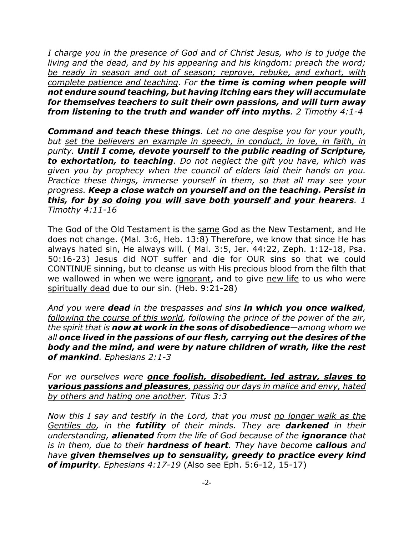*I charge you in the presence of God and of Christ Jesus, who is to judge the living and the dead, and by his appearing and his kingdom: preach the word; be ready in season and out of season; reprove, rebuke, and exhort, with complete patience and teaching. For the time is coming when people will not endure sound teaching, but having itching ears they will accumulate for themselves teachers to suit their own passions, and will turn away from listening to the truth and wander off into myths. 2 Timothy 4:1-4*

*Command and teach these things. Let no one despise you for your youth, but set the believers an example in speech, in conduct, in love, in faith, in purity. Until I come, devote yourself to the public reading of Scripture, to exhortation, to teaching. Do not neglect the gift you have, which was given you by prophecy when the council of elders laid their hands on you. Practice these things, immerse yourself in them, so that all may see your progress. Keep a close watch on yourself and on the teaching. Persist in this, for by so doing you will save both yourself and your hearers. 1 Timothy 4:11-16*

The God of the Old Testament is the same God as the New Testament, and He does not change. (Mal. 3:6, Heb. 13:8) Therefore, we know that since He has always hated sin, He always will. ( Mal. 3:5, Jer. 44:22, Zeph. 1:12-18, Psa. 50:16-23) Jesus did NOT suffer and die for OUR sins so that we could CONTINUE sinning, but to cleanse us with His precious blood from the filth that we wallowed in when we were ignorant, and to give new life to us who were spiritually dead due to our sin. (Heb. 9:21-28)

*And you were dead in the trespasses and sins in which you once walked, following the course of this world, following the prince of the power of the air, the spirit that is now at work in the sons of disobedience—among whom we all once lived in the passions of our flesh, carrying out the desires of the body and the mind, and were by nature children of wrath, like the rest of mankind. Ephesians 2:1-3*

*For we ourselves were once foolish, disobedient, led astray, slaves to various passions and pleasures, passing our days in malice and envy, hated by others and hating one another. Titus 3:3*

*Now this I say and testify in the Lord, that you must no longer walk as the Gentiles do, in the futility of their minds. They are darkened in their understanding, alienated from the life of God because of the ignorance that is in them, due to their hardness of heart. They have become callous and have given themselves up to sensuality, greedy to practice every kind of impurity. Ephesians 4:17-19* (Also see Eph. 5:6-12, 15-17)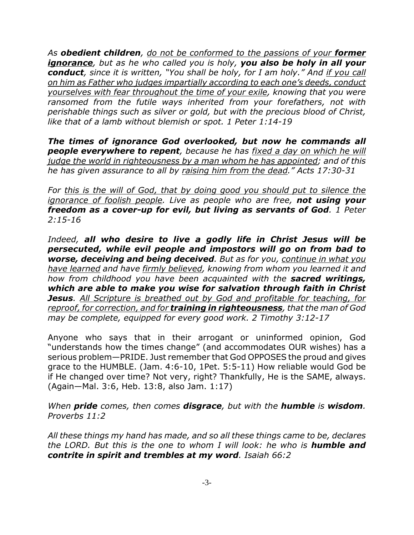*As obedient children, do not be conformed to the passions of your former ignorance, but as he who called you is holy, you also be holy in all your conduct, since it is written, "You shall be holy, for I am holy." And if you call on him as Father who judges impartially according to each one's deeds, conduct yourselves with fear throughout the time of your exile, knowing that you were ransomed from the futile ways inherited from your forefathers, not with perishable things such as silver or gold, but with the precious blood of Christ, like that of a lamb without blemish or spot. 1 Peter 1:14-19*

*The times of ignorance God overlooked, but now he commands all people everywhere to repent, because he has fixed a day on which he will judge the world in righteousness by a man whom he has appointed; and of this he has given assurance to all by raising him from the dead." Acts 17:30-31*

*For this is the will of God, that by doing good you should put to silence the ignorance of foolish people. Live as people who are free, not using your freedom as a cover-up for evil, but living as servants of God. 1 Peter 2:15-16*

*Indeed, all who desire to live a godly life in Christ Jesus will be persecuted, while evil people and impostors will go on from bad to worse, deceiving and being deceived. But as for you, continue in what you have learned and have firmly believed, knowing from whom you learned it and how from childhood you have been acquainted with the sacred writings, which are able to make you wise for salvation through faith in Christ Jesus. All Scripture is breathed out by God and profitable for teaching, for reproof, for correction, and for training in righteousness, that the man of God may be complete, equipped for every good work. 2 Timothy 3:12-17*

Anyone who says that in their arrogant or uninformed opinion, God "understands how the times change" (and accommodates OUR wishes) has a serious problem—PRIDE. Just remember that God OPPOSES the proud and gives grace to the HUMBLE. (Jam. 4:6-10, 1Pet. 5:5-11) How reliable would God be if He changed over time? Not very, right? Thankfully, He is the SAME, always. (Again—Mal. 3:6, Heb. 13:8, also Jam. 1:17)

*When pride comes, then comes disgrace, but with the humble is wisdom. Proverbs 11:2*

*All these things my hand has made, and so all these things came to be, declares the LORD. But this is the one to whom I will look: he who is humble and contrite in spirit and trembles at my word. Isaiah 66:2*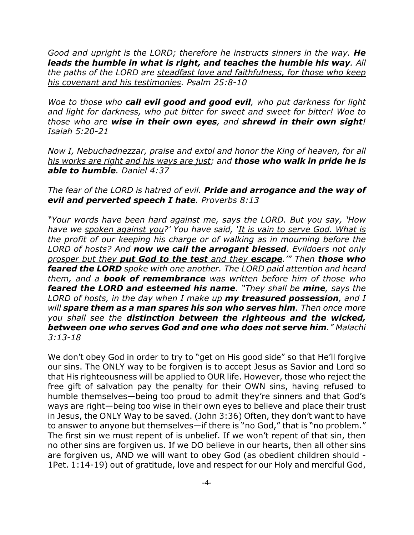*Good and upright is the LORD; therefore he instructs sinners in the way. He leads the humble in what is right, and teaches the humble his way. All the paths of the LORD are steadfast love and faithfulness, for those who keep his covenant and his testimonies. Psalm 25:8-10*

*Woe to those who call evil good and good evil, who put darkness for light and light for darkness, who put bitter for sweet and sweet for bitter! Woe to those who are wise in their own eyes, and shrewd in their own sight! Isaiah 5:20-21*

*Now I, Nebuchadnezzar, praise and extol and honor the King of heaven, for all his works are right and his ways are just; and those who walk in pride he is able to humble. Daniel 4:37*

*The fear of the LORD is hatred of evil. Pride and arrogance and the way of evil and perverted speech I hate. Proverbs 8:13*

*"Your words have been hard against me, says the LORD. But you say, 'How have we spoken against you?' You have said, 'It is vain to serve God. What is the profit of our keeping his charge or of walking as in mourning before the LORD of hosts? And now we call the arrogant blessed. Evildoers not only prosper but they put God to the test and they escape.'" Then those who feared the LORD spoke with one another. The LORD paid attention and heard them, and a book of remembrance was written before him of those who feared the LORD and esteemed his name. "They shall be mine, says the LORD of hosts, in the day when I make up my treasured possession, and I will spare them as a man spares his son who serves him. Then once more you shall see the distinction between the righteous and the wicked, between one who serves God and one who does not serve him." Malachi 3:13-18*

We don't obey God in order to try to "get on His good side" so that He'll forgive our sins. The ONLY way to be forgiven is to accept Jesus as Savior and Lord so that His righteousness will be applied to OUR life. However, those who reject the free gift of salvation pay the penalty for their OWN sins, having refused to humble themselves—being too proud to admit they're sinners and that God's ways are right—being too wise in their own eyes to believe and place their trust in Jesus, the ONLY Way to be saved. (John 3:36) Often, they don't want to have to answer to anyone but themselves—if there is "no God," that is "no problem." The first sin we must repent of is unbelief. If we won't repent of that sin, then no other sins are forgiven us. If we DO believe in our hearts, then all other sins are forgiven us, AND we will want to obey God (as obedient children should - 1Pet. 1:14-19) out of gratitude, love and respect for our Holy and merciful God,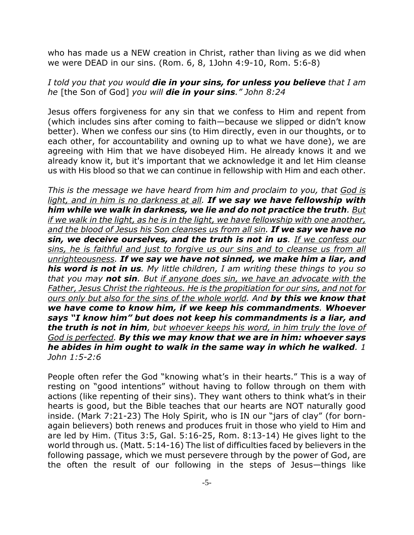who has made us a NEW creation in Christ, rather than living as we did when we were DEAD in our sins. (Rom. 6, 8, 1John 4:9-10, Rom. 5:6-8)

## *I told you that you would die in your sins, for unless you believe that I am he* [the Son of God] *you will die in your sins." John 8:24*

Jesus offers forgiveness for any sin that we confess to Him and repent from (which includes sins after coming to faith—because we slipped or didn't know better). When we confess our sins (to Him directly, even in our thoughts, or to each other, for accountability and owning up to what we have done), we are agreeing with Him that we have disobeyed Him. He already knows it and we already know it, but it's important that we acknowledge it and let Him cleanse us with His blood so that we can continue in fellowship with Him and each other.

*This is the message we have heard from him and proclaim to you, that God is light, and in him is no darkness at all. If we say we have fellowship with him while we walk in darkness, we lie and do not practice the truth. But if we walk in the light, as he is in the light, we have fellowship with one another, and the blood of Jesus his Son cleanses us from all sin. If we say we have no sin, we deceive ourselves, and the truth is not in us. If we confess our sins, he is faithful and just to forgive us our sins and to cleanse us from all unrighteousness. If we say we have not sinned, we make him a liar, and his word is not in us. My little children, I am writing these things to you so that you may not sin. But if anyone does sin, we have an advocate with the Father, Jesus Christ the righteous. He is the propitiation for our sins, and not for ours only but also for the sins of the whole world. And by this we know that we have come to know him, if we keep his commandments. Whoever says "I know him" but does not keep his commandments is a liar, and the truth is not in him, but whoever keeps his word, in him truly the love of God is perfected. By this we may know that we are in him: whoever says he abides in him ought to walk in the same way in which he walked. 1 John 1:5-2:6*

People often refer the God "knowing what's in their hearts." This is a way of resting on "good intentions" without having to follow through on them with actions (like repenting of their sins). They want others to think what's in their hearts is good, but the Bible teaches that our hearts are NOT naturally good inside. (Mark 7:21-23) The Holy Spirit, who is IN our "jars of clay" (for bornagain believers) both renews and produces fruit in those who yield to Him and are led by Him. (Titus 3:5, Gal. 5:16-25, Rom. 8:13-14) He gives light to the world through us. (Matt. 5:14-16) The list of difficulties faced by believers in the following passage, which we must persevere through by the power of God, are the often the result of our following in the steps of Jesus—things like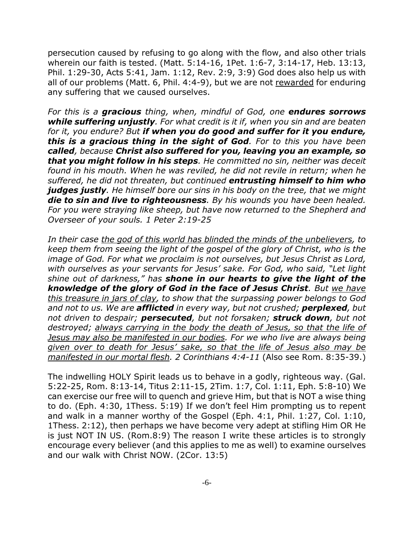persecution caused by refusing to go along with the flow, and also other trials wherein our faith is tested. (Matt. 5:14-16, 1Pet. 1:6-7, 3:14-17, Heb. 13:13, Phil. 1:29-30, Acts 5:41, Jam. 1:12, Rev. 2:9, 3:9) God does also help us with all of our problems (Matt. 6, Phil. 4:4-9), but we are not rewarded for enduring any suffering that we caused ourselves.

*For this is a gracious thing, when, mindful of God, one endures sorrows while suffering unjustly. For what credit is it if, when you sin and are beaten for it, you endure? But if when you do good and suffer for it you endure, this is a gracious thing in the sight of God. For to this you have been called, because Christ also suffered for you, leaving you an example, so that you might follow in his steps. He committed no sin, neither was deceit found in his mouth. When he was reviled, he did not revile in return; when he suffered, he did not threaten, but continued entrusting himself to him who judges justly. He himself bore our sins in his body on the tree, that we might die to sin and live to righteousness. By his wounds you have been healed. For you were straying like sheep, but have now returned to the Shepherd and Overseer of your souls. 1 Peter 2:19-25*

*In their case the god of this world has blinded the minds of the unbelievers, to keep them from seeing the light of the gospel of the glory of Christ, who is the image of God. For what we proclaim is not ourselves, but Jesus Christ as Lord, with ourselves as your servants for Jesus' sake. For God, who said, "Let light shine out of darkness," has shone in our hearts to give the light of the knowledge of the glory of God in the face of Jesus Christ. But we have this treasure in jars of clay, to show that the surpassing power belongs to God and not to us. We are afflicted in every way, but not crushed; perplexed, but not driven to despair; persecuted, but not forsaken; struck down, but not destroyed; always carrying in the body the death of Jesus, so that the life of Jesus may also be manifested in our bodies. For we who live are always being given over to death for Jesus' sake, so that the life of Jesus also may be manifested in our mortal flesh. 2 Corinthians 4:4-11* (Also see Rom. 8:35-39.)

The indwelling HOLY Spirit leads us to behave in a godly, righteous way. (Gal. 5:22-25, Rom. 8:13-14, Titus 2:11-15, 2Tim. 1:7, Col. 1:11, Eph. 5:8-10) We can exercise our free will to quench and grieve Him, but that is NOT a wise thing to do. (Eph. 4:30, 1Thess. 5:19) If we don't feel Him prompting us to repent and walk in a manner worthy of the Gospel (Eph. 4:1, Phil. 1:27, Col. 1:10, 1Thess. 2:12), then perhaps we have become very adept at stifling Him OR He is just NOT IN US. (Rom.8:9) The reason I write these articles is to strongly encourage every believer (and this applies to me as well) to examine ourselves and our walk with Christ NOW. (2Cor. 13:5)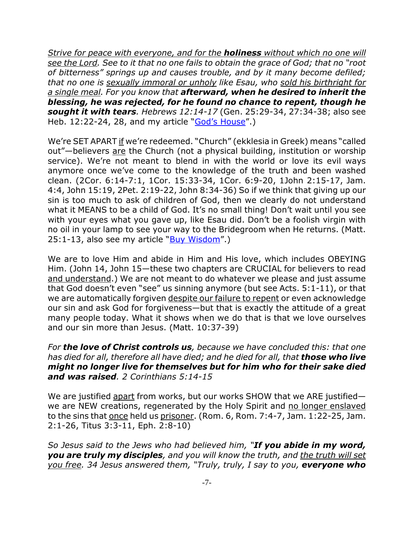*Strive for peace with everyone, and for the holiness without which no one will see the Lord. See to it that no one fails to obtain the grace of God; that no "root of bitterness" springs up and causes trouble, and by it many become defiled; that no one is sexually immoral or unholy like Esau, who sold his birthright for a single meal. For you know that afterward, when he desired to inherit the blessing, he was rejected, for he found no chance to repent, though he sought it with tears. Hebrews 12:14-17* (Gen. 25:29-34, 27:34-38; also see Heb. 12:22-24, 28, and my article "God's House".)

We're SET APART if we're redeemed. "Church" (ekklesia in Greek) means "called out"—believers are the Church (not a physical building, institution or worship service). We're not meant to blend in with the world or love its evil ways anymore once we've come to the knowledge of the truth and been washed clean. (2Cor. 6:14-7:1, 1Cor. 15:33-34, 1Cor. 6:9-20, 1John 2:15-17, Jam. 4:4, John 15:19, 2Pet. 2:19-22, John 8:34-36) So if we think that giving up our sin is too much to ask of children of God, then we clearly do not understand what it MEANS to be a child of God. It's no small thing! Don't wait until you see with your eyes what you gave up, like Esau did. Don't be a foolish virgin with no oil in your lamp to see your way to the Bridegroom when He returns. (Matt. 25:1-13, also see my article "Buy Wisdom".)

We are to love Him and abide in Him and His love, which includes OBEYING Him. (John 14, John 15—these two chapters are CRUCIAL for believers to read and understand.) We are not meant to do whatever we please and just assume that God doesn't even "see" us sinning anymore (but see Acts. 5:1-11), or that we are automatically forgiven despite our failure to repent or even acknowledge our sin and ask God for forgiveness—but that is exactly the attitude of a great many people today. What it shows when we do that is that we love ourselves and our sin more than Jesus. (Matt. 10:37-39)

*For the love of Christ controls us, because we have concluded this: that one has died for all, therefore all have died; and he died for all, that those who live might no longer live for themselves but for him who for their sake died and was raised. 2 Corinthians 5:14-15*

We are justified apart from works, but our works SHOW that we ARE justified we are NEW creations, regenerated by the Holy Spirit and no longer enslaved to the sins that once held us prisoner. (Rom. 6, Rom. 7:4-7, Jam. 1:22-25, Jam. 2:1-26, Titus 3:3-11, Eph. 2:8-10)

*So Jesus said to the Jews who had believed him, "If you abide in my word, you are truly my disciples, and you will know the truth, and the truth will set you free. 34 Jesus answered them, "Truly, truly, I say to you, everyone who*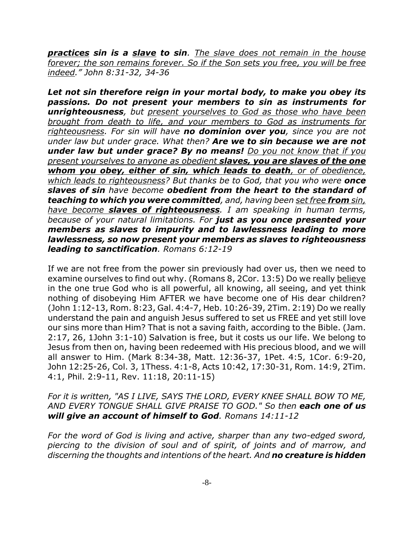*practices sin is a slave to sin. The slave does not remain in the house forever; the son remains forever. So if the Son sets you free, you will be free indeed." John 8:31-32, 34-36*

*Let not sin therefore reign in your mortal body, to make you obey its passions. Do not present your members to sin as instruments for unrighteousness, but present yourselves to God as those who have been brought from death to life, and your members to God as instruments for righteousness. For sin will have no dominion over you, since you are not under law but under grace. What then? Are we to sin because we are not under law but under grace? By no means! Do you not know that if you present yourselves to anyone as obedient slaves, you are slaves of the one whom you obey, either of sin, which leads to death, or of obedience, which leads to righteousness? But thanks be to God, that you who were once slaves of sin have become obedient from the heart to the standard of teaching to which you were committed, and, having been set free from sin, have become slaves of righteousness. I am speaking in human terms, because of your natural limitations. For just as you once presented your members as slaves to impurity and to lawlessness leading to more lawlessness, so now present your members as slaves to righteousness leading to sanctification. Romans 6:12-19*

If we are not free from the power sin previously had over us, then we need to examine ourselves to find out why. (Romans 8, 2Cor. 13:5) Do we really believe in the one true God who is all powerful, all knowing, all seeing, and yet think nothing of disobeying Him AFTER we have become one of His dear children? (John 1:12-13, Rom. 8:23, Gal. 4:4-7, Heb. 10:26-39, 2Tim. 2:19) Do we really understand the pain and anguish Jesus suffered to set us FREE and yet still love our sins more than Him? That is not a saving faith, according to the Bible. (Jam. 2:17, 26, 1John 3:1-10) Salvation is free, but it costs us our life. We belong to Jesus from then on, having been redeemed with His precious blood, and we will all answer to Him. (Mark 8:34-38, Matt. 12:36-37, 1Pet. 4:5, 1Cor. 6:9-20, John 12:25-26, Col. 3, 1Thess. 4:1-8, Acts 10:42, 17:30-31, Rom. 14:9, 2Tim. 4:1, Phil. 2:9-11, Rev. 11:18, 20:11-15)

*For it is written, "AS I LIVE, SAYS THE LORD, EVERY KNEE SHALL BOW TO ME, AND EVERY TONGUE SHALL GIVE PRAISE TO GOD." So then each one of us will give an account of himself to God. Romans 14:11-12*

*For the word of God is living and active, sharper than any two-edged sword, piercing to the division of soul and of spirit, of joints and of marrow, and discerning the thoughts and intentions of the heart. And no creature is hidden*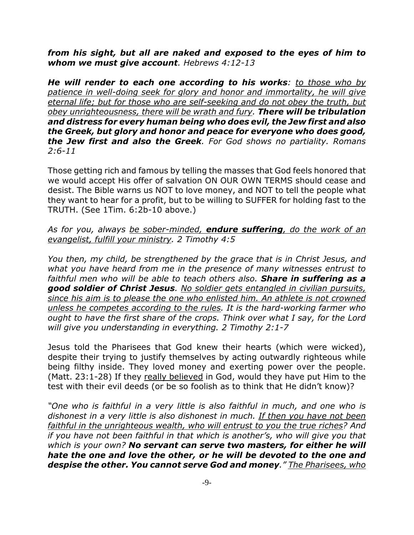*from his sight, but all are naked and exposed to the eyes of him to whom we must give account. Hebrews 4:12-13*

*He will render to each one according to his works: to those who by patience in well-doing seek for glory and honor and immortality, he will give eternal life; but for those who are self-seeking and do not obey the truth, but obey unrighteousness, there will be wrath and fury. There will be tribulation and distress for every human being who does evil, the Jew first and also the Greek, but glory and honor and peace for everyone who does good, the Jew first and also the Greek. For God shows no partiality. Romans 2:6-11*

Those getting rich and famous by telling the masses that God feels honored that we would accept His offer of salvation ON OUR OWN TERMS should cease and desist. The Bible warns us NOT to love money, and NOT to tell the people what they want to hear for a profit, but to be willing to SUFFER for holding fast to the TRUTH. (See 1Tim. 6:2b-10 above.)

## *As for you, always be sober-minded, endure suffering, do the work of an evangelist, fulfill your ministry. 2 Timothy 4:5*

*You then, my child, be strengthened by the grace that is in Christ Jesus, and what you have heard from me in the presence of many witnesses entrust to faithful men who will be able to teach others also. Share in suffering as a good soldier of Christ Jesus. No soldier gets entangled in civilian pursuits, since his aim is to please the one who enlisted him. An athlete is not crowned unless he competes according to the rules. It is the hard-working farmer who ought to have the first share of the crops. Think over what I say, for the Lord will give you understanding in everything. 2 Timothy 2:1-7*

Jesus told the Pharisees that God knew their hearts (which were wicked), despite their trying to justify themselves by acting outwardly righteous while being filthy inside. They loved money and exerting power over the people. (Matt. 23:1-28) If they really believed in God, would they have put Him to the test with their evil deeds (or be so foolish as to think that He didn't know)?

*"One who is faithful in a very little is also faithful in much, and one who is dishonest in a very little is also dishonest in much. If then you have not been faithful in the unrighteous wealth, who will entrust to you the true riches? And if you have not been faithful in that which is another's, who will give you that which is your own? No servant can serve two masters, for either he will hate the one and love the other, or he will be devoted to the one and despise the other. You cannot serve God and money." The Pharisees, who*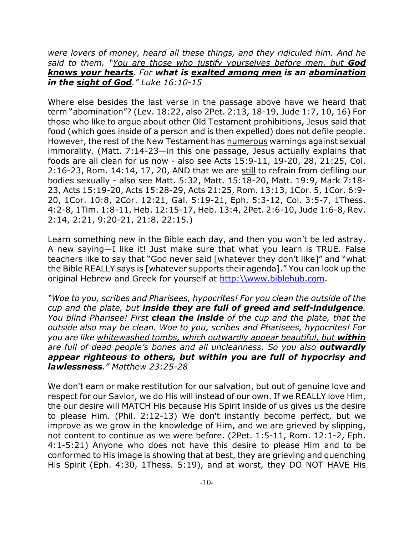*were lovers of money, heard all these things, and they ridiculed him. And he said to them, "You are those who justify yourselves before men, but God knows your hearts. For what is exalted among men is an abomination in the sight of God." Luke 16:10-15*

Where else besides the last verse in the passage above have we heard that term "abomination"? (Lev. 18:22, also 2Pet. 2:13, 18-19, Jude 1:7, 10, 16) For those who like to argue about other Old Testament prohibitions, Jesus said that food (which goes inside of a person and is then expelled) does not defile people. However, the rest of the New Testament has numerous warnings against sexual immorality. (Matt. 7:14-23—in this one passage, Jesus actually explains that foods are all clean for us now - also see Acts 15:9-11, 19-20, 28, 21:25, Col. 2:16-23, Rom. 14:14, 17, 20, AND that we are still to refrain from defiling our bodies sexually - also see Matt. 5:32, Matt. 15:18-20, Matt. 19:9, Mark 7:18- 23, Acts 15:19-20, Acts 15:28-29, Acts 21:25, Rom. 13:13, 1Cor. 5, 1Cor. 6:9- 20, 1Cor. 10:8, 2Cor. 12:21, Gal. 5:19-21, Eph. 5:3-12, Col. 3:5-7, 1Thess. 4:2-8, 1Tim. 1:8-11, Heb. 12:15-17, Heb. 13:4, 2Pet. 2:6-10, Jude 1:6-8, Rev. 2:14, 2:21, 9:20-21, 21:8, 22:15.)

Learn something new in the Bible each day, and then you won't be led astray. A new saying—I like it! Just make sure that what you learn is TRUE. False teachers like to say that "God never said [whatever they don't like]" and "what the Bible REALLY says is [whatever supports their agenda]." You can look up the original Hebrew and Greek for yourself at http:\\www.biblehub.com.

*"Woe to you, scribes and Pharisees, hypocrites! For you clean the outside of the cup and the plate, but inside they are full of greed and self-indulgence. You blind Pharisee! First clean the inside of the cup and the plate, that the outside also may be clean. Woe to you, scribes and Pharisees, hypocrites! For you are like whitewashed tombs, which outwardly appear beautiful, but within are full of dead people's bones and all uncleanness. So you also outwardly appear righteous to others, but within you are full of hypocrisy and lawlessness." Matthew 23:25-28*

We don't earn or make restitution for our salvation, but out of genuine love and respect for our Savior, we do His will instead of our own. If we REALLY love Him, the our desire will MATCH His because His Spirit inside of us gives us the desire to please Him. (Phil. 2:12-13) We don't instantly become perfect, but we improve as we grow in the knowledge of Him, and we are grieved by slipping, not content to continue as we were before. (2Pet. 1:5-11, Rom. 12:1-2, Eph. 4:1-5:21) Anyone who does not have this desire to please Him and to be conformed to His image is showing that at best, they are grieving and quenching His Spirit (Eph. 4:30, 1Thess. 5:19), and at worst, they DO NOT HAVE His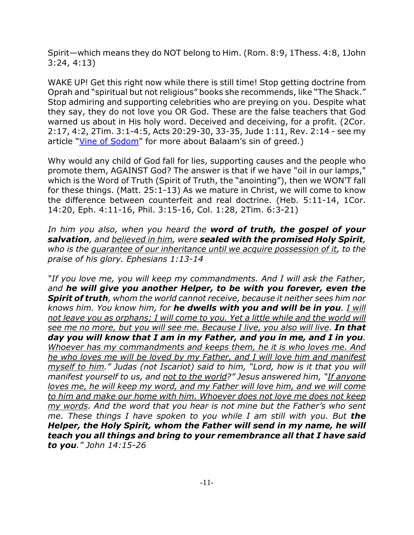Spirit—which means they do NOT belong to Him. (Rom. 8:9, 1Thess. 4:8, 1John 3:24, 4:13)

WAKE UP! Get this right now while there is still time! Stop getting doctrine from Oprah and "spiritual but not religious" books she recommends, like "The Shack." Stop admiring and supporting celebrities who are preying on you. Despite what they say, they do not love you OR God. These are the false teachers that God warned us about in His holy word. Deceived and deceiving, for a profit. (2Cor. 2:17, 4:2, 2Tim. 3:1-4:5, Acts 20:29-30, 33-35, Jude 1:11, Rev. 2:14 - see my article "Vine of Sodom" for more about Balaam's sin of greed.)

Why would any child of God fall for lies, supporting causes and the people who promote them, AGAINST God? The answer is that if we have "oil in our lamps," which is the Word of Truth (Spirit of Truth, the "anointing"), then we WON'T fall for these things. (Matt. 25:1-13) As we mature in Christ, we will come to know the difference between counterfeit and real doctrine. (Heb. 5:11-14, 1Cor. 14:20, Eph. 4:11-16, Phil. 3:15-16, Col. 1:28, 2Tim. 6:3-21)

*In him you also, when you heard the word of truth, the gospel of your salvation, and believed in him, were sealed with the promised Holy Spirit, who is the guarantee of our inheritance until we acquire possession of it, to the praise of his glory. Ephesians 1:13-14*

*"If you love me, you will keep my commandments. And I will ask the Father, and he will give you another Helper, to be with you forever, even the Spirit of truth, whom the world cannot receive, because it neither sees him nor knows him. You know him, for he dwells with you and will be in you. I will not leave you as orphans; I will come to you. Yet a little while and the world will see me no more, but you will see me. Because I live, you also will live. In that day you will know that I am in my Father, and you in me, and I in you. Whoever has my commandments and keeps them, he it is who loves me. And he who loves me will be loved by my Father, and I will love him and manifest myself to him." Judas (not Iscariot) said to him, "Lord, how is it that you will manifest yourself to us, and not to the world?" Jesus answered him, "If anyone loves me, he will keep my word, and my Father will love him, and we will come to him and make our home with him. Whoever does not love me does not keep my words. And the word that you hear is not mine but the Father's who sent me. These things I have spoken to you while I am still with you. But the Helper, the Holy Spirit, whom the Father will send in my name, he will teach you all things and bring to your remembrance all that I have said to you." John 14:15-26*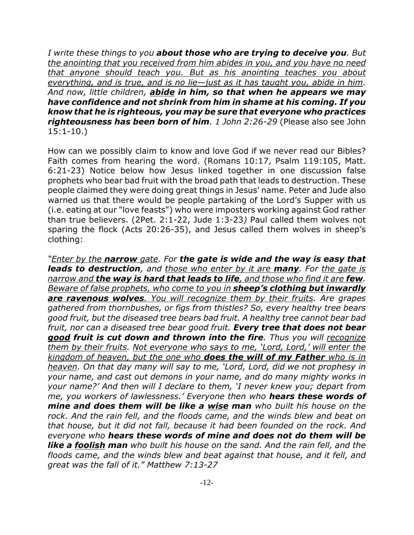*I write these things to you about those who are trying to deceive you. But the anointing that you received from him abides in you, and you have no need that anyone should teach you. But as his anointing teaches you about everything, and is true, and is no lie—just as it has taught you, abide in him. And now, little children, abide in him, so that when he appears we may have confidence and not shrink from him in shame at his coming. If you know that he is righteous, you may be sure that everyone who practices righteousness has been born of him. 1 John 2:26-29* (Please also see John 15:1-10.)

How can we possibly claim to know and love God if we never read our Bibles? Faith comes from hearing the word. (Romans 10:17, Psalm 119:105, Matt. 6:21-23) Notice below how Jesus linked together in one discussion false prophets who bear bad fruit with the broad path that leads to destruction. These people claimed they were doing great things in Jesus' name. Peter and Jude also warned us that there would be people partaking of the Lord's Supper with us (i.e. eating at our "love feasts") who were imposters working against God rather than true believers. (2Pet. 2:1-22, Jude 1:3-23*)* Paul called them wolves not sparing the flock (Acts 20:26-35), and Jesus called them wolves in sheep's clothing:

*"Enter by the narrow gate. For the gate is wide and the way is easy that leads to destruction, and those who enter by it are many. For the gate is narrow and the way is hard that leads to life, and those who find it are few. Beware of false prophets, who come to you in sheep's clothing but inwardly are ravenous wolves. You will recognize them by their fruits. Are grapes gathered from thornbushes, or figs from thistles? So, every healthy tree bears good fruit, but the diseased tree bears bad fruit. A healthy tree cannot bear bad fruit, nor can a diseased tree bear good fruit. Every tree that does not bear good fruit is cut down and thrown into the fire. Thus you will recognize them by their fruits. Not everyone who says to me, 'Lord, Lord,' will enter the kingdom of heaven, but the one who does the will of my Father who is in heaven. On that day many will say to me, 'Lord, Lord, did we not prophesy in your name, and cast out demons in your name, and do many mighty works in your name?' And then will I declare to them, 'I never knew you; depart from me, you workers of lawlessness.' Everyone then who hears these words of mine and does them will be like a wise man who built his house on the rock. And the rain fell, and the floods came, and the winds blew and beat on that house, but it did not fall, because it had been founded on the rock. And everyone who hears these words of mine and does not do them will be like a foolish man who built his house on the sand. And the rain fell, and the floods came, and the winds blew and beat against that house, and it fell, and great was the fall of it." Matthew 7:13-27*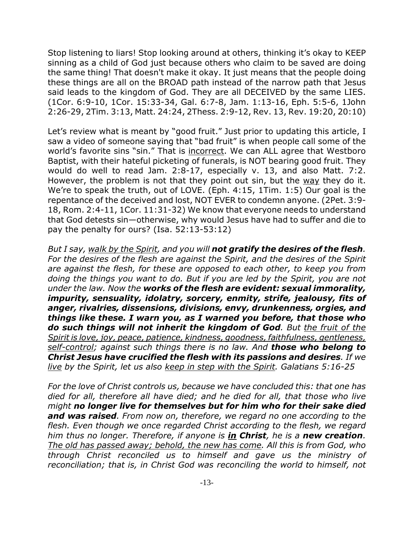Stop listening to liars! Stop looking around at others, thinking it's okay to KEEP sinning as a child of God just because others who claim to be saved are doing the same thing! That doesn't make it okay. It just means that the people doing these things are all on the BROAD path instead of the narrow path that Jesus said leads to the kingdom of God. They are all DECEIVED by the same LIES. (1Cor. 6:9-10, 1Cor. 15:33-34, Gal. 6:7-8, Jam. 1:13-16, Eph. 5:5-6, 1John 2:26-29, 2Tim. 3:13, Matt. 24:24, 2Thess. 2:9-12, Rev. 13, Rev. 19:20, 20:10)

Let's review what is meant by "good fruit." Just prior to updating this article, I saw a video of someone saying that "bad fruit" is when people call some of the world's favorite sins "sin." That is incorrect. We can ALL agree that Westboro Baptist, with their hateful picketing of funerals, is NOT bearing good fruit. They would do well to read Jam. 2:8-17, especially v. 13, and also Matt. 7:2. However, the problem is not that they point out sin, but the way they do it. We're to speak the truth, out of LOVE. (Eph. 4:15, 1Tim. 1:5) Our goal is the repentance of the deceived and lost, NOT EVER to condemn anyone. (2Pet. 3:9- 18, Rom. 2:4-11, 1Cor. 11:31-32) We know that everyone needs to understand that God detests sin—otherwise, why would Jesus have had to suffer and die to pay the penalty for ours? (Isa. 52:13-53:12)

*But I say, walk by the Spirit, and you will not gratify the desires of the flesh. For the desires of the flesh are against the Spirit, and the desires of the Spirit are against the flesh, for these are opposed to each other, to keep you from doing the things you want to do. But if you are led by the Spirit, you are not under the law. Now the works of the flesh are evident: sexual immorality, impurity, sensuality, idolatry, sorcery, enmity, strife, jealousy, fits of anger, rivalries, dissensions, divisions, envy, drunkenness, orgies, and things like these. I warn you, as I warned you before, that those who do such things will not inherit the kingdom of God. But the fruit of the Spirit is love, joy, peace, patience, kindness, goodness, faithfulness, gentleness, self-control; against such things there is no law. And those who belong to Christ Jesus have crucified the flesh with its passions and desires. If we live by the Spirit, let us also keep in step with the Spirit. Galatians 5:16-25*

*For the love of Christ controls us, because we have concluded this: that one has died for all, therefore all have died; and he died for all, that those who live might no longer live for themselves but for him who for their sake died and was raised. From now on, therefore, we regard no one according to the flesh. Even though we once regarded Christ according to the flesh, we regard him thus no longer. Therefore, if anyone is in Christ, he is a new creation. The old has passed away; behold, the new has come. All this is from God, who through Christ reconciled us to himself and gave us the ministry of reconciliation; that is, in Christ God was reconciling the world to himself, not*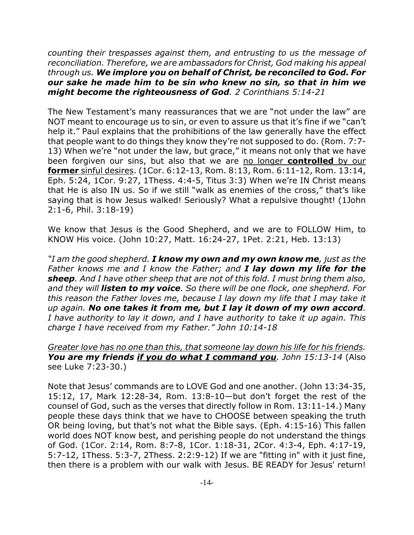*counting their trespasses against them, and entrusting to us the message of reconciliation. Therefore, we are ambassadors for Christ, God making his appeal through us. We implore you on behalf of Christ, be reconciled to God. For our sake he made him to be sin who knew no sin, so that in him we might become the righteousness of God. 2 Corinthians 5:14-21*

The New Testament's many reassurances that we are "not under the law" are NOT meant to encourage us to sin, or even to assure us that it's fine if we "can't help it." Paul explains that the prohibitions of the law generally have the effect that people want to do things they know they're not supposed to do. (Rom. 7:7- 13) When we're "not under the law, but grace," it means not only that we have been forgiven our sins, but also that we are no longer **controlled** by our **former** sinful desires. (1Cor. 6:12-13, Rom. 8:13, Rom. 6:11-12, Rom. 13:14, Eph. 5:24, 1Cor. 9:27, 1Thess. 4:4-5, Titus 3:3) When we're IN Christ means that He is also IN us. So if we still "walk as enemies of the cross," that's like saying that is how Jesus walked! Seriously? What a repulsive thought! (1John 2:1-6, Phil. 3:18-19)

We know that Jesus is the Good Shepherd, and we are to FOLLOW Him, to KNOW His voice. (John 10:27, Matt. 16:24-27, 1Pet. 2:21, Heb. 13:13)

*"I am the good shepherd. I know my own and my own know me, just as the Father knows me and I know the Father; and I lay down my life for the sheep. And I have other sheep that are not of this fold. I must bring them also, and they will listen to my voice. So there will be one flock, one shepherd. For this reason the Father loves me, because I lay down my life that I may take it up again. No one takes it from me, but I lay it down of my own accord. I have authority to lay it down, and I have authority to take it up again. This charge I have received from my Father." John 10:14-18*

*Greater love has no one than this, that someone lay down his life for his friends. You are my friends if you do what I command you. John 15:13-14* (Also see Luke 7:23-30.)

Note that Jesus' commands are to LOVE God and one another. (John 13:34-35, 15:12, 17, Mark 12:28-34, Rom. 13:8-10—but don't forget the rest of the counsel of God, such as the verses that directly follow in Rom. 13:11-14.) Many people these days think that we have to CHOOSE between speaking the truth OR being loving, but that's not what the Bible says. (Eph. 4:15-16) This fallen world does NOT know best, and perishing people do not understand the things of God. (1Cor. 2:14, Rom. 8:7-8, 1Cor. 1:18-31, 2Cor. 4:3-4, Eph. 4:17-19, 5:7-12, 1Thess. 5:3-7, 2Thess. 2:2:9-12) If we are "fitting in" with it just fine, then there is a problem with our walk with Jesus. BE READY for Jesus' return!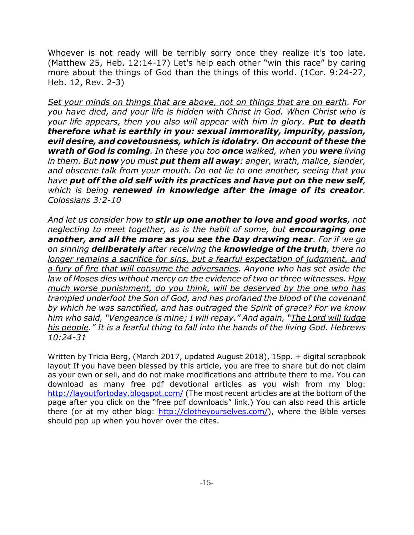Whoever is not ready will be terribly sorry once they realize it's too late. (Matthew 25, Heb. 12:14-17) Let's help each other "win this race" by caring more about the things of God than the things of this world. (1Cor. 9:24-27, Heb. 12, Rev. 2-3)

*Set your minds on things that are above, not on things that are on earth. For you have died, and your life is hidden with Christ in God. When Christ who is your life appears, then you also will appear with him in glory. Put to death therefore what is earthly in you: sexual immorality, impurity, passion, evil desire, and covetousness, which is idolatry. On account of these the wrath of God is coming. In these you too once walked, when you were living in them. But now you must put them all away: anger, wrath, malice, slander, and obscene talk from your mouth. Do not lie to one another, seeing that you have put off the old self with its practices and have put on the new self, which is being renewed in knowledge after the image of its creator. Colossians 3:2-10*

*And let us consider how to stir up one another to love and good works, not neglecting to meet together, as is the habit of some, but encouraging one another, and all the more as you see the Day drawing near. For if we go on sinning deliberately after receiving the knowledge of the truth, there no longer remains a sacrifice for sins, but a fearful expectation of judgment, and a fury of fire that will consume the adversaries. Anyone who has set aside the law of Moses dies without mercy on the evidence of two or three witnesses. How much worse punishment, do you think, will be deserved by the one who has trampled underfoot the Son of God, and has profaned the blood of the covenant by which he was sanctified, and has outraged the Spirit of grace? For we know him who said, "Vengeance is mine; I will repay." And again, "The Lord will judge his people." It is a fearful thing to fall into the hands of the living God. Hebrews 10:24-31*

Written by Tricia Berg, (March 2017, updated August 2018), 15pp. + digital scrapbook layout If you have been blessed by this article, you are free to share but do not claim as your own or sell, and do not make modifications and attribute them to me. You can download as many free pdf devotional articles as you wish from my blog: http://layoutfortoday.blogspot.com/ (The most recent articles are at the bottom of the page after you click on the "free pdf downloads" link.) You can also read this article there (or at my other blog: http://clotheyourselves.com/), where the Bible verses should pop up when you hover over the cites.